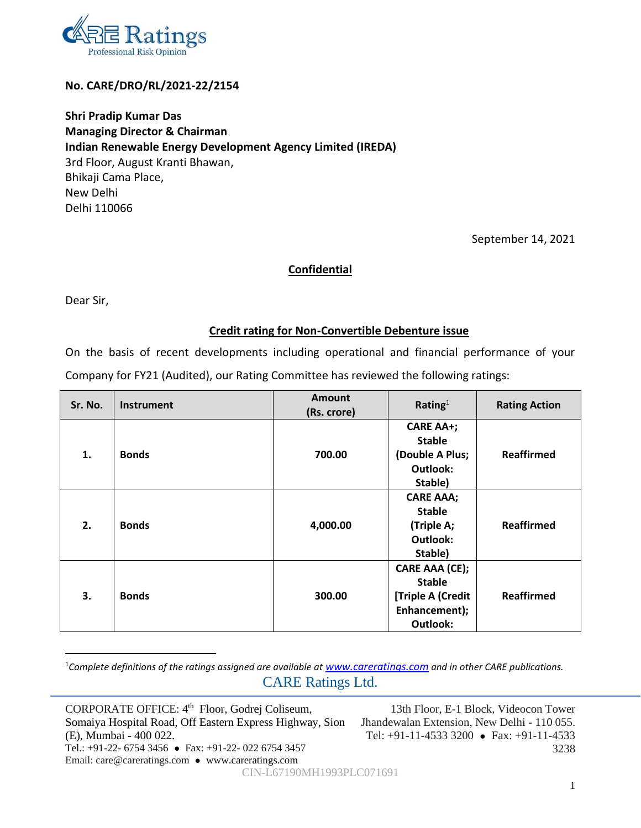

### **No. CARE/DRO/RL/2021-22/2154**

**Shri Pradip Kumar Das Managing Director & Chairman Indian Renewable Energy Development Agency Limited (IREDA)** 3rd Floor, August Kranti Bhawan, Bhikaji Cama Place, New Delhi Delhi 110066

September 14, 2021

### **Confidential**

Dear Sir,

### **Credit rating for Non-Convertible Debenture issue**

On the basis of recent developments including operational and financial performance of your Company for FY21 (Audited), our Rating Committee has reviewed the following ratings:

| Sr. No. | Instrument   | Amount      | Rating $1$        | <b>Rating Action</b> |  |
|---------|--------------|-------------|-------------------|----------------------|--|
|         |              | (Rs. crore) |                   |                      |  |
| 1.      | <b>Bonds</b> |             | <b>CARE AA+;</b>  |                      |  |
|         |              |             | <b>Stable</b>     |                      |  |
|         |              | 700.00      | (Double A Plus;   | <b>Reaffirmed</b>    |  |
|         |              |             | Outlook:          |                      |  |
|         |              |             | Stable)           |                      |  |
| 2.      | <b>Bonds</b> | 4,000.00    | <b>CARE AAA;</b>  |                      |  |
|         |              |             | <b>Stable</b>     |                      |  |
|         |              |             | (Triple A;        | <b>Reaffirmed</b>    |  |
|         |              |             | Outlook:          |                      |  |
|         |              |             | Stable)           |                      |  |
| 3.      | <b>Bonds</b> |             | CARE AAA (CE);    |                      |  |
|         |              |             | <b>Stable</b>     |                      |  |
|         |              | 300.00      | [Triple A (Credit | <b>Reaffirmed</b>    |  |
|         |              |             | Enhancement);     |                      |  |
|         |              |             | Outlook:          |                      |  |

CARE Ratings Ltd. <sup>1</sup>Complete definitions of the ratings assigned are available at **[www.careratings.com](http://www.careratings.com/)** and in other CARE publications.

CORPORATE OFFICE: 4<sup>th</sup> Floor, Godrej Coliseum, Somaiya Hospital Road, Off Eastern Express Highway, Sion (E), Mumbai - 400 022. Tel.: +91-22- 6754 3456 ⚫ Fax: +91-22- 022 6754 3457 Email: care@careratings.com ⚫ www.careratings.com

13th Floor, E-1 Block, Videocon Tower Jhandewalan Extension, New Delhi - 110 055. Tel: +91-11-4533 3200 ⚫ Fax: +91-11-4533 3238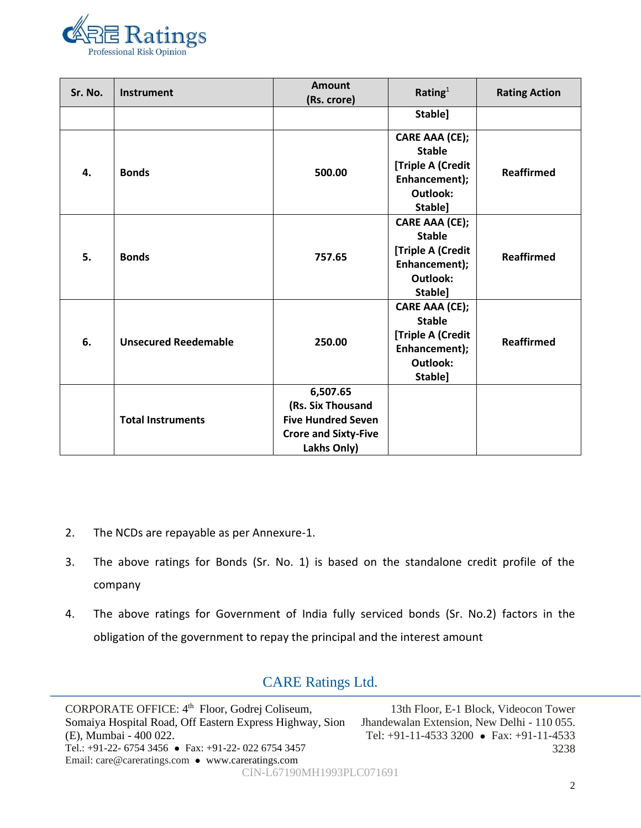

| Sr. No. | Instrument                  | <b>Amount</b><br>(Rs. crore) | Rating $1$        | <b>Rating Action</b> |  |
|---------|-----------------------------|------------------------------|-------------------|----------------------|--|
|         |                             |                              | Stable]           |                      |  |
| 4.      | <b>Bonds</b>                | 500.00                       | CARE AAA (CE);    | <b>Reaffirmed</b>    |  |
|         |                             |                              | <b>Stable</b>     |                      |  |
|         |                             |                              | [Triple A (Credit |                      |  |
|         |                             |                              | Enhancement);     |                      |  |
|         |                             |                              | Outlook:          |                      |  |
|         |                             |                              | Stable]           |                      |  |
|         | <b>Bonds</b>                | 757.65                       | CARE AAA (CE);    |                      |  |
|         |                             |                              | <b>Stable</b>     |                      |  |
|         |                             |                              | [Triple A (Credit |                      |  |
| 5.      |                             |                              | Enhancement);     | <b>Reaffirmed</b>    |  |
|         |                             |                              | Outlook:          |                      |  |
|         |                             |                              | Stable]           |                      |  |
|         | <b>Unsecured Reedemable</b> | 250.00                       | CARE AAA (CE);    | <b>Reaffirmed</b>    |  |
|         |                             |                              | <b>Stable</b>     |                      |  |
|         |                             |                              | [Triple A (Credit |                      |  |
| 6.      |                             |                              | Enhancement);     |                      |  |
|         |                             |                              | <b>Outlook:</b>   |                      |  |
|         |                             |                              | Stable]           |                      |  |
|         | <b>Total Instruments</b>    | 6,507.65                     |                   |                      |  |
|         |                             | (Rs. Six Thousand            |                   |                      |  |
|         |                             | <b>Five Hundred Seven</b>    |                   |                      |  |
|         |                             | <b>Crore and Sixty-Five</b>  |                   |                      |  |
|         |                             | Lakhs Only)                  |                   |                      |  |

- 2. The NCDs are repayable as per Annexure-1.
- 3. The above ratings for Bonds (Sr. No. 1) is based on the standalone credit profile of the company
- 4. The above ratings for Government of India fully serviced bonds (Sr. No.2) factors in the obligation of the government to repay the principal and the interest amount

# CARE Ratings Ltd.

CORPORATE OFFICE: 4<sup>th</sup> Floor, Godrej Coliseum, Somaiya Hospital Road, Off Eastern Express Highway, Sion (E), Mumbai - 400 022. Tel.: +91-22- 6754 3456 ⚫ Fax: +91-22- 022 6754 3457 Email: care@careratings.com ⚫ www.careratings.com 13th Floor, E-1 Block, Videocon Tower Jhandewalan Extension, New Delhi - 110 055. Tel: +91-11-4533 3200 ⚫ Fax: +91-11-4533 3238 CIN-L67190MH1993PLC071691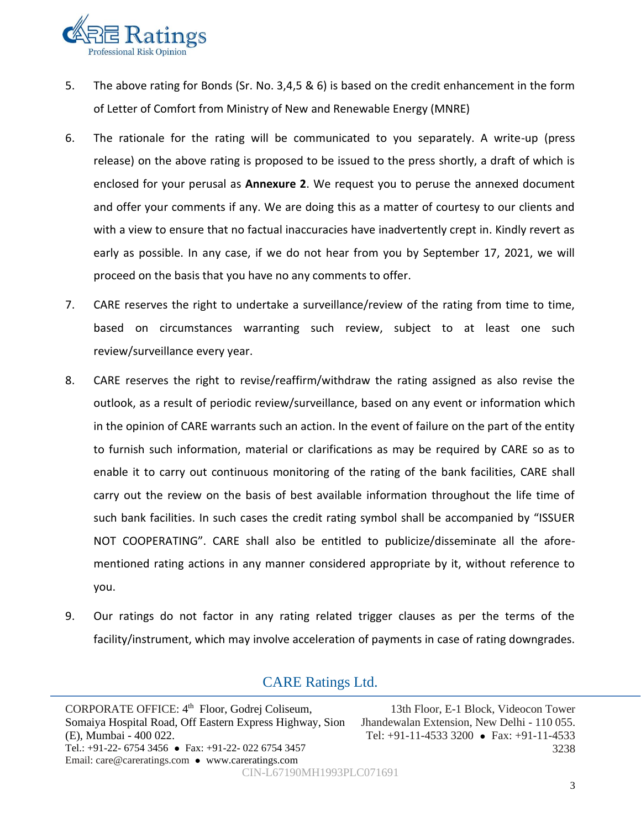

- 5. The above rating for Bonds (Sr. No. 3,4,5 & 6) is based on the credit enhancement in the form of Letter of Comfort from Ministry of New and Renewable Energy (MNRE)
- 6. The rationale for the rating will be communicated to you separately. A write-up (press release) on the above rating is proposed to be issued to the press shortly, a draft of which is enclosed for your perusal as **Annexure 2**. We request you to peruse the annexed document and offer your comments if any. We are doing this as a matter of courtesy to our clients and with a view to ensure that no factual inaccuracies have inadvertently crept in. Kindly revert as early as possible. In any case, if we do not hear from you by September 17, 2021, we will proceed on the basis that you have no any comments to offer.
- 7. CARE reserves the right to undertake a surveillance/review of the rating from time to time, based on circumstances warranting such review, subject to at least one such review/surveillance every year.
- 8. CARE reserves the right to revise/reaffirm/withdraw the rating assigned as also revise the outlook, as a result of periodic review/surveillance, based on any event or information which in the opinion of CARE warrants such an action. In the event of failure on the part of the entity to furnish such information, material or clarifications as may be required by CARE so as to enable it to carry out continuous monitoring of the rating of the bank facilities, CARE shall carry out the review on the basis of best available information throughout the life time of such bank facilities. In such cases the credit rating symbol shall be accompanied by "ISSUER NOT COOPERATING". CARE shall also be entitled to publicize/disseminate all the aforementioned rating actions in any manner considered appropriate by it, without reference to you.
- 9. Our ratings do not factor in any rating related trigger clauses as per the terms of the facility/instrument, which may involve acceleration of payments in case of rating downgrades.

# CARE Ratings Ltd.

CORPORATE OFFICE: 4<sup>th</sup> Floor, Godrej Coliseum, Somaiya Hospital Road, Off Eastern Express Highway, Sion (E), Mumbai - 400 022. Tel.: +91-22- 6754 3456 ⚫ Fax: +91-22- 022 6754 3457 Email: care@careratings.com ⚫ www.careratings.com 13th Floor, E-1 Block, Videocon Tower Jhandewalan Extension, New Delhi - 110 055. Tel: +91-11-4533 3200 ⚫ Fax: +91-11-4533 CIN-L67190MH1993PLC071691

3238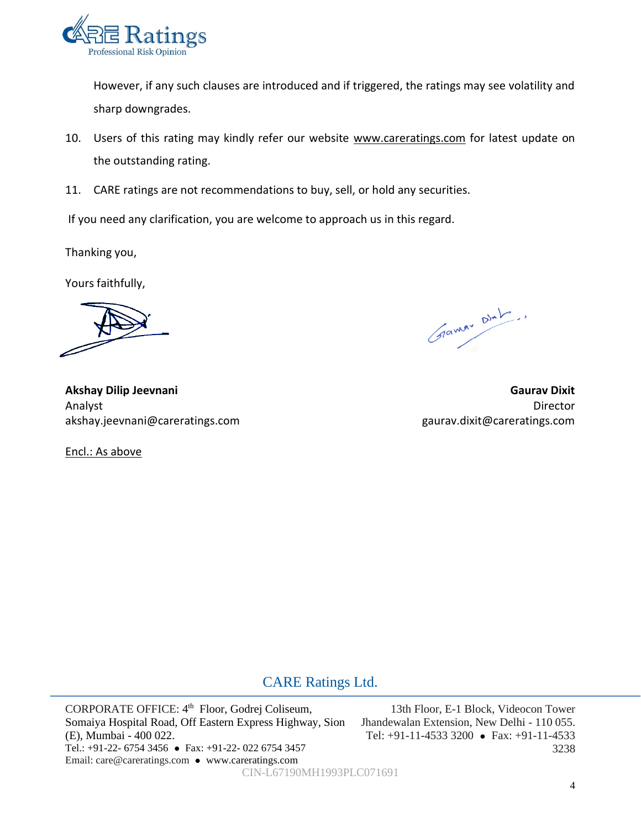

However, if any such clauses are introduced and if triggered, the ratings may see volatility and sharp downgrades.

- 10. Users of this rating may kindly refer our website www.careratings.com for latest update on the outstanding rating.
- 11. CARE ratings are not recommendations to buy, sell, or hold any securities.

If you need any clarification, you are welcome to approach us in this regard.

Thanking you,

Yours faithfully,

Gramm Dinh.

**Akshay Dilip Jeevnani Gaurav Dixit**  Analyst Director akshay.jeevnani@careratings.com gaurav.dixit@careratings.com

Encl.: As above

## CARE Ratings Ltd.

CORPORATE OFFICE: 4<sup>th</sup> Floor, Godrej Coliseum, Somaiya Hospital Road, Off Eastern Express Highway, Sion (E), Mumbai - 400 022. Tel.: +91-22- 6754 3456 ⚫ Fax: +91-22- 022 6754 3457 Email: care@careratings.com ⚫ www.careratings.com

13th Floor, E-1 Block, Videocon Tower Jhandewalan Extension, New Delhi - 110 055. Tel: +91-11-4533 3200 ⚫ Fax: +91-11-4533 3238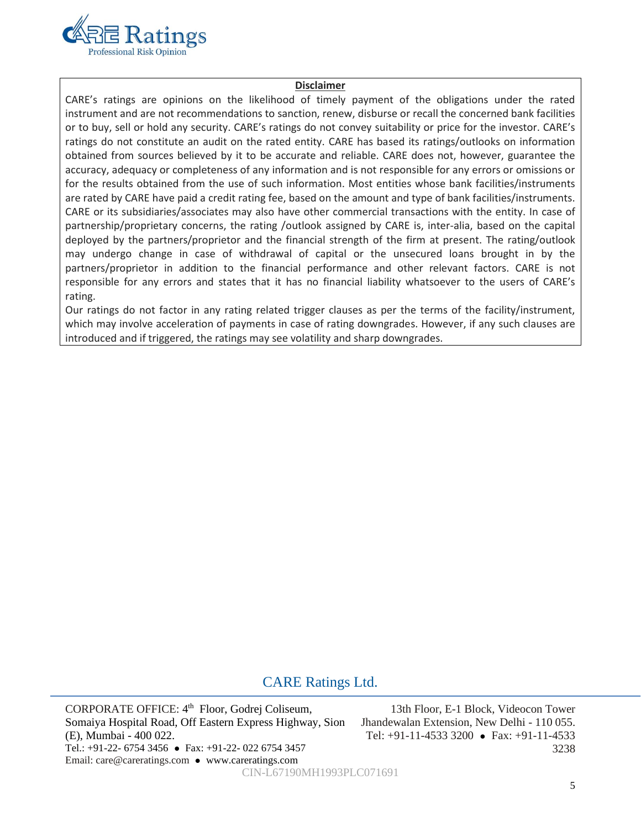

#### **Disclaimer**

CARE's ratings are opinions on the likelihood of timely payment of the obligations under the rated instrument and are not recommendations to sanction, renew, disburse or recall the concerned bank facilities or to buy, sell or hold any security. CARE's ratings do not convey suitability or price for the investor. CARE's ratings do not constitute an audit on the rated entity. CARE has based its ratings/outlooks on information obtained from sources believed by it to be accurate and reliable. CARE does not, however, guarantee the accuracy, adequacy or completeness of any information and is not responsible for any errors or omissions or for the results obtained from the use of such information. Most entities whose bank facilities/instruments are rated by CARE have paid a credit rating fee, based on the amount and type of bank facilities/instruments. CARE or its subsidiaries/associates may also have other commercial transactions with the entity. In case of partnership/proprietary concerns, the rating /outlook assigned by CARE is, inter-alia, based on the capital deployed by the partners/proprietor and the financial strength of the firm at present. The rating/outlook may undergo change in case of withdrawal of capital or the unsecured loans brought in by the partners/proprietor in addition to the financial performance and other relevant factors. CARE is not responsible for any errors and states that it has no financial liability whatsoever to the users of CARE's rating.

Our ratings do not factor in any rating related trigger clauses as per the terms of the facility/instrument, which may involve acceleration of payments in case of rating downgrades. However, if any such clauses are introduced and if triggered, the ratings may see volatility and sharp downgrades.

# CARE Ratings Ltd.

CORPORATE OFFICE: 4<sup>th</sup> Floor, Godrej Coliseum, Somaiya Hospital Road, Off Eastern Express Highway, Sion (E), Mumbai - 400 022. Tel.: +91-22- 6754 3456 ⚫ Fax: +91-22- 022 6754 3457 Email: care@careratings.com ⚫ www.careratings.com

13th Floor, E-1 Block, Videocon Tower Jhandewalan Extension, New Delhi - 110 055. Tel: +91-11-4533 3200 ⚫ Fax: +91-11-4533 3238